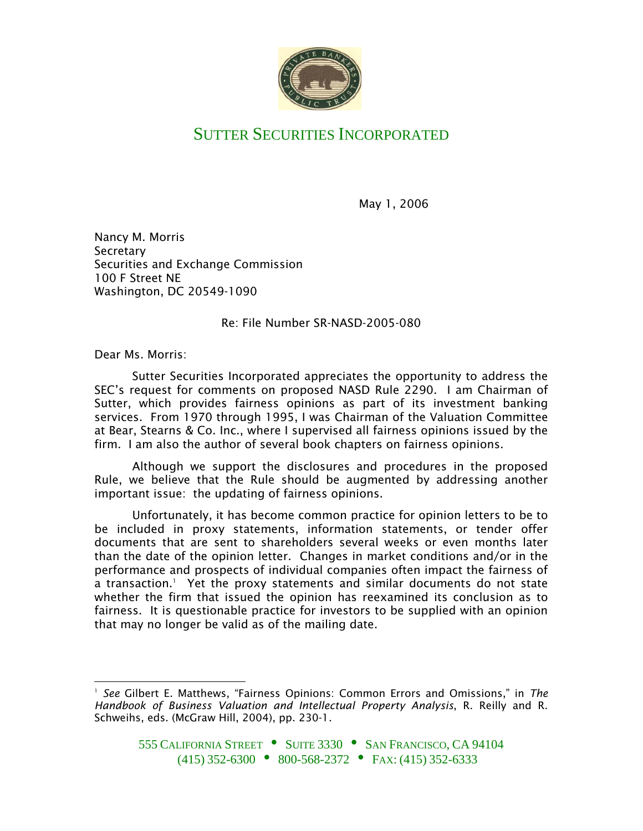

## SUTTER SECURITIES INCORPORATED

May 1, 2006

Nancy M. Morris **Secretary** Securities and Exchange Commission 100 F Street NE Washington, DC 20549-1090

Re: File Number SR-NASD-2005-080

Dear Ms. Morris:

Sutter Securities Incorporated appreciates the opportunity to address the SEC's request for comments on proposed NASD Rule 2290. I am Chairman of Sutter, which provides fairness opinions as part of its investment banking services. From 1970 through 1995, I was Chairman of the Valuation Committee at Bear, Stearns & Co. Inc., where I supervised all fairness opinions issued by the firm. I am also the author of several book chapters on fairness opinions.

Although we support the disclosures and procedures in the proposed Rule, we believe that the Rule should be augmented by addressing another important issue: the updating of fairness opinions.

Unfortunately, it has become common practice for opinion letters to be to be included in proxy statements, information statements, or tender offer documents that are sent to shareholders several weeks or even months later than the date of the opinion letter. Changes in market conditions and/or in the performance and prospects of individual companies often impact the fairness of a transaction. 1 Yet the proxy statements and similar documents do not state whether the firm that issued the opinion has reexamined its conclusion as to fairness. It is questionable practice for investors to be supplied with an opinion that may no longer be valid as of the mailing date.

*See* Gilbert E. Matthews, "Fairness Opinions: Common Errors and Omissions," in *The Handbook of Business Valuation and Intellectual Property Analysis*, R. Reilly and R. Schweihs, eds. (McGraw Hill, 2004), pp. 230-1. 1